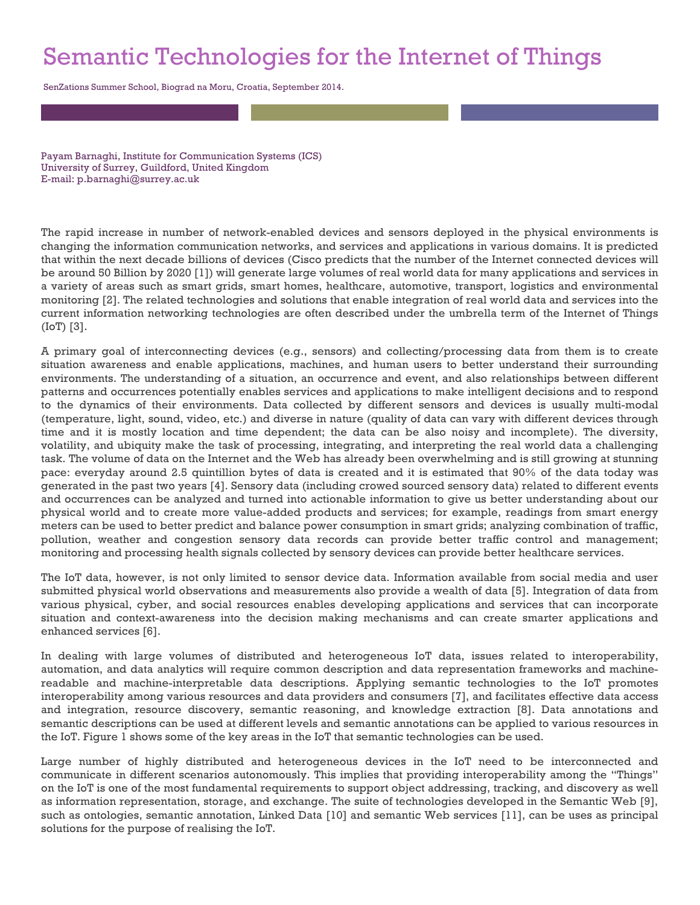## Semantic Technologies for the Internet of Things

SenZations Summer School, Biograd na Moru, Croatia, September 2014.

Payam Barnaghi, Institute for Communication Systems (ICS) University of Surrey, Guildford, United Kingdom E-mail: p.barnaghi@surrey.ac.uk

The rapid increase in number of network-enabled devices and sensors deployed in the physical environments is changing the information communication networks, and services and applications in various domains. It is predicted that within the next decade billions of devices (Cisco predicts that the number of the Internet connected devices will be around 50 Billion by 2020 [1]) will generate large volumes of real world data for many applications and services in a variety of areas such as smart grids, smart homes, healthcare, automotive, transport, logistics and environmental monitoring [2]. The related technologies and solutions that enable integration of real world data and services into the current information networking technologies are often described under the umbrella term of the Internet of Things (IoT) [3].

A primary goal of interconnecting devices (e.g., sensors) and collecting/processing data from them is to create situation awareness and enable applications, machines, and human users to better understand their surrounding environments. The understanding of a situation, an occurrence and event, and also relationships between different patterns and occurrences potentially enables services and applications to make intelligent decisions and to respond to the dynamics of their environments. Data collected by different sensors and devices is usually multi-modal (temperature, light, sound, video, etc.) and diverse in nature (quality of data can vary with different devices through time and it is mostly location and time dependent; the data can be also noisy and incomplete). The diversity, volatility, and ubiquity make the task of processing, integrating, and interpreting the real world data a challenging task. The volume of data on the Internet and the Web has already been overwhelming and is still growing at stunning pace: everyday around 2.5 quintillion bytes of data is created and it is estimated that 90% of the data today was generated in the past two years [4]. Sensory data (including crowed sourced sensory data) related to different events and occurrences can be analyzed and turned into actionable information to give us better understanding about our physical world and to create more value-added products and services; for example, readings from smart energy meters can be used to better predict and balance power consumption in smart grids; analyzing combination of traffic, pollution, weather and congestion sensory data records can provide better traffic control and management; monitoring and processing health signals collected by sensory devices can provide better healthcare services.

The IoT data, however, is not only limited to sensor device data. Information available from social media and user submitted physical world observations and measurements also provide a wealth of data [5]. Integration of data from various physical, cyber, and social resources enables developing applications and services that can incorporate situation and context-awareness into the decision making mechanisms and can create smarter applications and enhanced services [6].

In dealing with large volumes of distributed and heterogeneous IoT data, issues related to interoperability, automation, and data analytics will require common description and data representation frameworks and machinereadable and machine-interpretable data descriptions. Applying semantic technologies to the IoT promotes interoperability among various resources and data providers and consumers [7], and facilitates effective data access and integration, resource discovery, semantic reasoning, and knowledge extraction [8]. Data annotations and semantic descriptions can be used at different levels and semantic annotations can be applied to various resources in the IoT. Figure 1 shows some of the key areas in the IoT that semantic technologies can be used.

Large number of highly distributed and heterogeneous devices in the IoT need to be interconnected and communicate in different scenarios autonomously. This implies that providing interoperability among the "Things" on the IoT is one of the most fundamental requirements to support object addressing, tracking, and discovery as well as information representation, storage, and exchange. The suite of technologies developed in the Semantic Web [9], such as ontologies, semantic annotation, Linked Data [10] and semantic Web services [11], can be uses as principal solutions for the purpose of realising the IoT.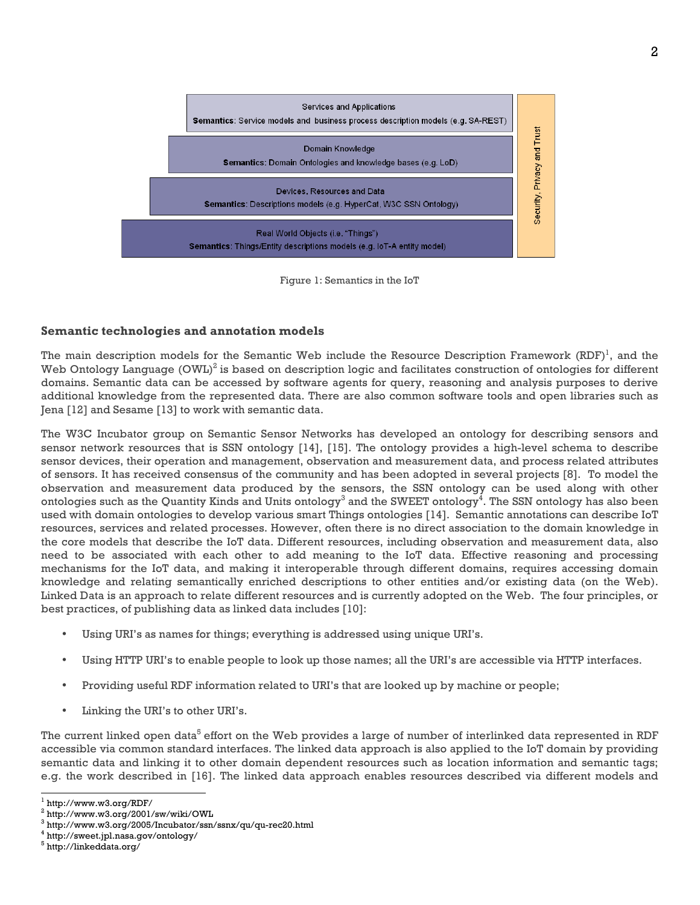



## **Semantic technologies and annotation models**

The main description models for the Semantic Web include the Resource Description Framework  $\rm (RDF)^1_{\rm }$  and the Web Ontology Language  $(OWL)^2$  is based on description logic and facilitates construction of ontologies for different domains. Semantic data can be accessed by software agents for query, reasoning and analysis purposes to derive additional knowledge from the represented data. There are also common software tools and open libraries such as Jena [12] and Sesame [13] to work with semantic data.

The W3C Incubator group on Semantic Sensor Networks has developed an ontology for describing sensors and sensor network resources that is SSN ontology [14], [15]. The ontology provides a high-level schema to describe sensor devices, their operation and management, observation and measurement data, and process related attributes of sensors. It has received consensus of the community and has been adopted in several projects [8]. To model the observation and measurement data produced by the sensors, the SSN ontology can be used along with other ontologies such as the Quantity Kinds and Units ontology $^3$  and the SWEET ontology $^4$ . The SSN ontology has also been used with domain ontologies to develop various smart Things ontologies [14]. Semantic annotations can describe IoT resources, services and related processes. However, often there is no direct association to the domain knowledge in the core models that describe the IoT data. Different resources, including observation and measurement data, also need to be associated with each other to add meaning to the IoT data. Effective reasoning and processing mechanisms for the IoT data, and making it interoperable through different domains, requires accessing domain knowledge and relating semantically enriched descriptions to other entities and/or existing data (on the Web). Linked Data is an approach to relate different resources and is currently adopted on the Web. The four principles, or best practices, of publishing data as linked data includes [10]:

- Using URI's as names for things; everything is addressed using unique URI's.
- Using HTTP URI's to enable people to look up those names; all the URI's are accessible via HTTP interfaces.
- Providing useful RDF information related to URI's that are looked up by machine or people;
- Linking the URI's to other URI's.

The current linked open data<sup>5</sup> effort on the Web provides a large of number of interlinked data represented in RDF accessible via common standard interfaces. The linked data approach is also applied to the IoT domain by providing semantic data and linking it to other domain dependent resources such as location information and semantic tags; e.g. the work described in [16]. The linked data approach enables resources described via different models and

 $1$  http://www.w3.org/RDF/

<sup>2</sup> http://www.w3.org/2001/sw/wiki/OWL

 $^3$  http://www.w3.org/2005/Incubator/ssn/ssnx/qu/qu-rec20.html  $^4$  http://sweet.jpl.nasa.gov/ontology/

<sup>5</sup> http://linkeddata.org/